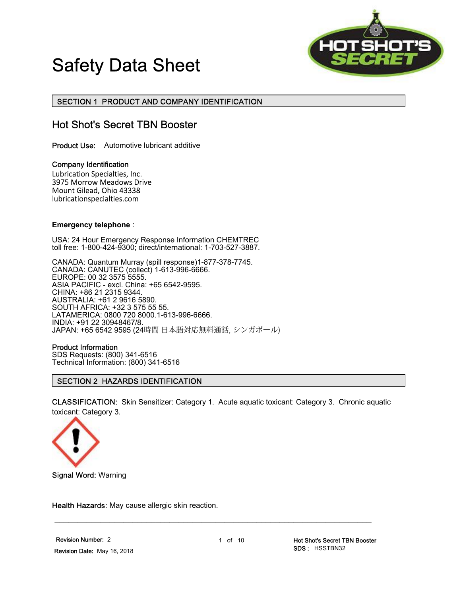



### SECTION 1 PRODUCT AND COMPANY IDENTIFICATION

# Hot Shot's Secret TBN Booster

Product Use: Automotive lubricant additive

Company Identification Lubrication Specialties, Inc. 3975 Morrow Meadows Drive<br>Mount Gilead, Ohio 43338<br>[lubricationspecialties.com](https://lubricationspecialties.com)

#### **Emergency telephone** :

USA: 24 Hour Emergency Response Information CHEMTREC toll free: 1-800-424-9300; direct/international: 1-703-527-3887.

CANADA: Quantum Murray (spill response)1-877-378-7745. CANADA: CANUTEC (collect) 1-613-996-6666. EUROPE: 00 32 3575 5555. ASIA PACIFIC - excl. China: +65 6542-9595. CHINA: +86 21 2315 9344. AUSTRALIA: +61 2 9616 5890. SOUTH AFRICA: +32 3 575 55 55. LATAMERICA: 0800 720 8000.1-613-996-6666. INDIA: +91 22 30948467/8. JAPAN: +65 6542 9595 (24時間 日本語対応無料通話, シンガポール)

#### Product Information

SDS Requests: (800) 341-6516 Technical Information: (800) 341-6516

#### SECTION 2 HAZARDS IDENTIFICATION

 CLASSIFICATION: Skin Sensitizer: Category 1. Acute aquatic toxicant: Category 3. Chronic aquatic toxicant: Category 3.



Signal Word: Warning

Health Hazards: May cause allergic skin reaction.

\_\_\_\_\_\_\_\_\_\_\_\_\_\_\_\_\_\_\_\_\_\_\_\_\_\_\_\_\_\_\_\_\_\_\_\_\_\_\_\_\_\_\_\_\_\_\_\_\_\_\_\_\_\_\_\_\_\_\_\_\_\_\_\_\_\_\_\_\_

Revision Number: 2 1 of 10 Hot Shot's Secret TBN Booster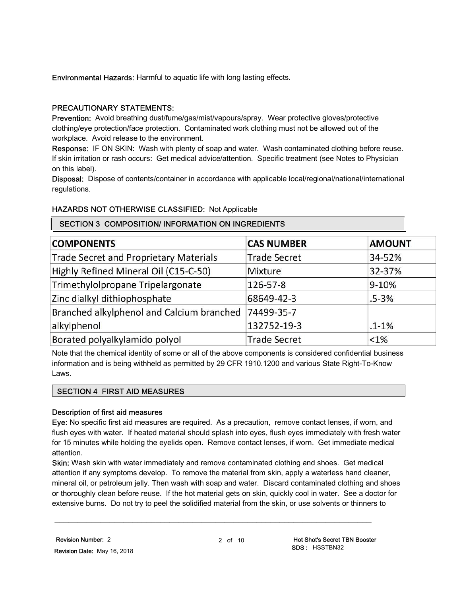Environmental Hazards: Harmful to aquatic life with long lasting effects.

### PRECAUTIONARY STATEMENTS:

Prevention: Avoid breathing dust/fume/gas/mist/vapours/spray. Wear protective gloves/protective clothing/eye protection/face protection. Contaminated work clothing must not be allowed out of the workplace. Avoid release to the environment.

Response: IF ON SKIN: Wash with plenty of soap and water. Wash contaminated clothing before reuse. If skin irritation or rash occurs: Get medical advice/attention. Specific treatment (see Notes to Physician on this label).

 Disposal: Dispose of contents/container in accordance with applicable local/regional/national/international regulations.

### HAZARDS NOT OTHERWISE CLASSIFIED: Not Applicable

### SECTION 3 COMPOSITION/ INFORMATION ON INGREDIENTS

| <b>COMPONENTS</b>                             | <b>CAS NUMBER</b>   | <b>AMOUNT</b> |
|-----------------------------------------------|---------------------|---------------|
| <b>Trade Secret and Proprietary Materials</b> | <b>Trade Secret</b> | 34-52%        |
| Highly Refined Mineral Oil (C15-C-50)         | Mixture             | 32-37%        |
| Trimethylolpropane Tripelargonate             | 126-57-8            | 9-10%         |
| Zinc dialkyl dithiophosphate                  | 68649-42-3          | $.5 - 3%$     |
| Branched alkylphenol and Calcium branched     | 74499-35-7          |               |
| alkylphenol                                   | 132752-19-3         | $1 - 1%$      |
| Borated polyalkylamido polyol                 | <b>Trade Secret</b> | $< 1\%$       |

 Note that the chemical identity of some or all of the above components is considered confidential business information and is being withheld as permitted by 29 CFR 1910.1200 and various State Right-To-Know Laws.

#### SECTION 4 FIRST AID MEASURES

#### Description of first aid measures

Eye: No specific first aid measures are required. As a precaution, remove contact lenses, if worn, and flush eyes with water. If heated material should splash into eyes, flush eyes immediately with fresh water for 15 minutes while holding the eyelids open. Remove contact lenses, if worn. Get immediate medical attention.

 Skin: Wash skin with water immediately and remove contaminated clothing and shoes. Get medical attention if any symptoms develop. To remove the material from skin, apply a waterless hand cleaner, mineral oil, or petroleum jelly. Then wash with soap and water. Discard contaminated clothing and shoes or thoroughly clean before reuse. If the hot material gets on skin, quickly cool in water. See a doctor for extensive burns. Do not try to peel the solidified material from the skin, or use solvents or thinners to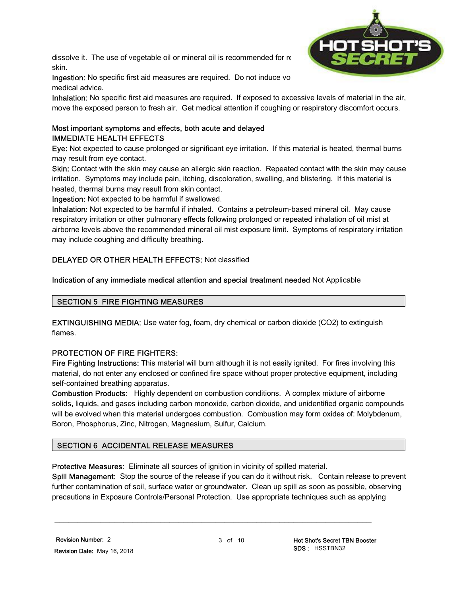dissolve it. The use of vegetable oil or mineral oil is recommended for re skin.



Ingestion: No specific first aid measures are required. Do not induce vo medical advice.

Inhalation: No specific first aid measures are required. If exposed to excessive levels of material in the air, move the exposed person to fresh air. Get medical attention if coughing or respiratory discomfort occurs.

# Most important symptoms and effects, both acute and delayed IMMEDIATE HEALTH EFFECTS

 Eye: Not expected to cause prolonged or significant eye irritation. If this material is heated, thermal burns may result from eye contact.

**Skin:** Contact with the skin may cause an allergic skin reaction. Repeated contact with the skin may cause irritation. Symptoms may include pain, itching, discoloration, swelling, and blistering. If this material is heated, thermal burns may result from skin contact.

Ingestion: Not expected to be harmful if swallowed.

 Inhalation: Not expected to be harmful if inhaled. Contains a petroleum-based mineral oil. May cause respiratory irritation or other pulmonary effects following prolonged or repeated inhalation of oil mist at airborne levels above the recommended mineral oil mist exposure limit. Symptoms of respiratory irritation may include coughing and difficulty breathing.

# DELAYED OR OTHER HEALTH EFFECTS: Not classified

### Indication of any immediate medical attention and special treatment needed Not Applicable

### SECTION 5 FIRE FIGHTING MEASURES

 EXTINGUISHING MEDIA: Use water fog, foam, dry chemical or carbon dioxide (CO2) to extinguish flames.

### PROTECTION OF FIRE FIGHTERS:

Fire Fighting Instructions: This material will burn although it is not easily ignited. For fires involving this material, do not enter any enclosed or confined fire space without proper protective equipment, including self-contained breathing apparatus.

 Combustion Products: Highly dependent on combustion conditions. A complex mixture of airborne solids, liquids, and gases including carbon monoxide, carbon dioxide, and unidentified organic compounds will be evolved when this material undergoes combustion. Combustion may form oxides of: Molybdenum, Boron, Phosphorus, Zinc, Nitrogen, Magnesium, Sulfur, Calcium.

### SECTION 6 ACCIDENTAL RELEASE MEASURES

Protective Measures: Eliminate all sources of ignition in vicinity of spilled material.

Spill Management: Stop the source of the release if you can do it without risk. Contain release to prevent further contamination of soil, surface water or groundwater. Clean up spill as soon as possible, observing precautions in Exposure Controls/Personal Protection. Use appropriate techniques such as applying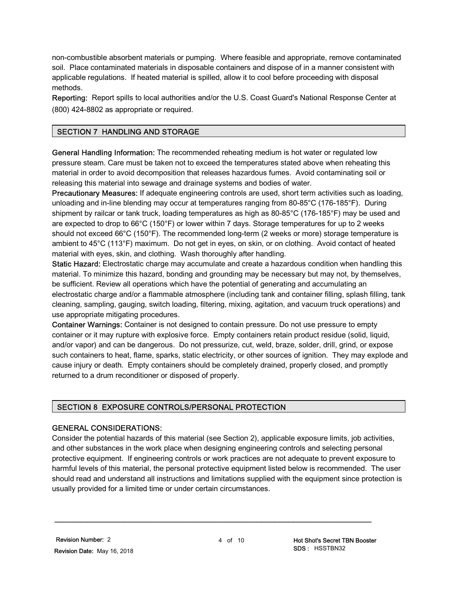non-combustible absorbent materials or pumping. Where feasible and appropriate, remove contaminated soil. Place contaminated materials in disposable containers and dispose of in a manner consistent with applicable regulations. If heated material is spilled, allow it to cool before proceeding with disposal methods.

Reporting: Report spills to local authorities and/or the U.S. Coast Guard's National Response Center at (800) 424-8802 as appropriate or required.

### SECTION 7 HANDLING AND STORAGE

General Handling Information: The recommended reheating medium is hot water or regulated low pressure steam. Care must be taken not to exceed the temperatures stated above when reheating this material in order to avoid decomposition that releases hazardous fumes. Avoid contaminating soil or releasing this material into sewage and drainage systems and bodies of water.

Precautionary Measures: If adequate engineering controls are used, short term activities such as loading, unloading and in-line blending may occur at temperatures ranging from 80-85°C (176-185°F). During shipment by railcar or tank truck, loading temperatures as high as 80-85°C (176-185°F) may be used and are expected to drop to 66°C (150°F) or lower within 7 days. Storage temperatures for up to 2 weeks should not exceed 66°C (150°F). The recommended long-term (2 weeks or more) storage temperature is ambient to 45°C (113°F) maximum. Do not get in eyes, on skin, or on clothing. Avoid contact of heated material with eyes, skin, and clothing. Wash thoroughly after handling.

**Static Hazard:** Electrostatic charge may accumulate and create a hazardous condition when handling this material. To minimize this hazard, bonding and grounding may be necessary but may not, by themselves, be sufficient. Review all operations which have the potential of generating and accumulating an electrostatic charge and/or a flammable atmosphere (including tank and container filling, splash filling, tank cleaning, sampling, gauging, switch loading, filtering, mixing, agitation, and vacuum truck operations) and use appropriate mitigating procedures.

**Container Warnings:** Container is not designed to contain pressure. Do not use pressure to empty container or it may rupture with explosive force. Empty containers retain product residue (solid, liquid, and/or vapor) and can be dangerous. Do not pressurize, cut, weld, braze, solder, drill, grind, or expose such containers to heat, flame, sparks, static electricity, or other sources of ignition. They may explode and cause injury or death. Empty containers should be completely drained, properly closed, and promptly returned to a drum reconditioner or disposed of properly.

### SECTION 8 EXPOSURE CONTROLS/PERSONAL PROTECTION

#### GENERAL CONSIDERATIONS:

 Consider the potential hazards of this material (see Section 2), applicable exposure limits, job activities, and other substances in the work place when designing engineering controls and selecting personal protective equipment. If engineering controls or work practices are not adequate to prevent exposure to harmful levels of this material, the personal protective equipment listed below is recommended. The user should read and understand all instructions and limitations supplied with the equipment since protection is usually provided for a limited time or under certain circumstances.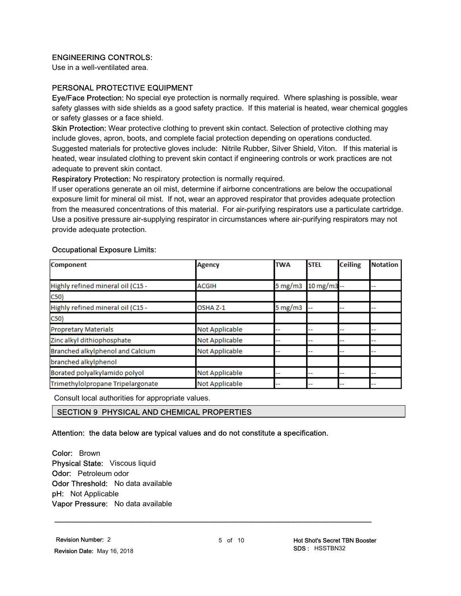### ENGINEERING CONTROLS:

Use in a well-ventilated area.

#### PERSONAL PROTECTIVE EQUIPMENT

Eye/Face Protection: No special eye protection is normally required. Where splashing is possible, wear safety glasses with side shields as a good safety practice. If this material is heated, wear chemical goggles or safety glasses or a face shield.

Skin Protection: Wear protective clothing to prevent skin contact. Selection of protective clothing may include gloves, apron, boots, and complete facial protection depending on operations conducted. Suggested materials for protective gloves include: Nitrile Rubber, Silver Shield, Viton. If this material is heated, wear insulated clothing to prevent skin contact if engineering controls or work practices are not adequate to prevent skin contact.

Respiratory Protection: No respiratory protection is normally required.

 If user operations generate an oil mist, determine if airborne concentrations are below the occupational exposure limit for mineral oil mist. If not, wear an approved respirator that provides adequate protection from the measured concentrations of this material. For air-purifying respirators use a particulate cartridge. Use a positive pressure air-supplying respirator in circumstances where air-purifying respirators may not provide adequate protection.

#### Occupational Exposure Limits:

| Component                         | <b>Agency</b>  | <b>TWA</b>                | <b>STEL</b> | <b>Ceiling</b> | <b>Notation</b> |
|-----------------------------------|----------------|---------------------------|-------------|----------------|-----------------|
|                                   |                |                           |             |                |                 |
| Highly refined mineral oil (C15 - | ACGIH          | 5 mg/m $3$                | 10 mg/m3 -- |                |                 |
| C50)                              |                |                           |             |                |                 |
| Highly refined mineral oil (C15 - | OSHA Z-1       | $5 \text{ mg}/\text{m}$ 3 | --          |                |                 |
| C50)                              |                |                           |             |                |                 |
| <b>Propretary Materials</b>       | Not Applicable | --                        |             |                |                 |
| Zinc alkyl dithiophosphate        | Not Applicable | --                        | --          |                |                 |
| Branched alkylphenol and Calcium  | Not Applicable |                           | --          |                |                 |
| branched alkylphenol              |                |                           |             |                |                 |
| Borated polyalkylamido polyol     | Not Applicable | --                        | --          |                |                 |
| Trimethylolpropane Tripelargonate | Not Applicable | --                        | --          |                |                 |

Consult local authorities for appropriate values.

### SECTION 9 PHYSICAL AND CHEMICAL PROPERTIES

#### Attention: the data below are typical values and do not constitute a specification.

Color: Brown Physical State: Viscous liquid Odor: Petroleum odor Odor Threshold: No data available pH: Not Applicable **Vapor Pressure:** No data available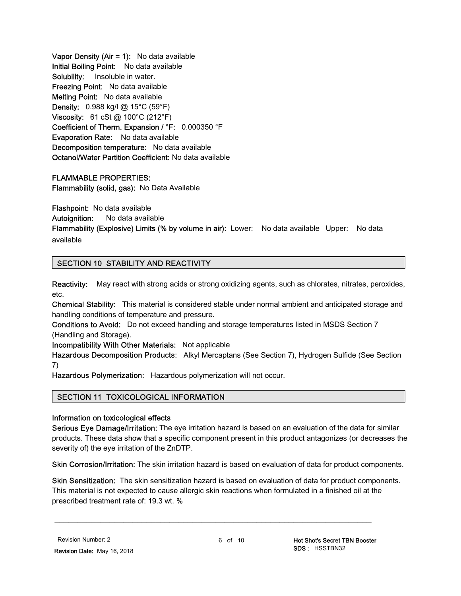Vapor Density (Air  $= 1$ ): No data available Initial Boiling Point: No data available Solubility: Insoluble in water. Freezing Point: No data available Melting Point: No data available **Density:** 0.988 kg/l @ 15°C (59°F) Viscosity:  $61 \text{ cSt}$  @ 100°C (212°F) Coefficient of Therm. Expansion / °F: 0.000350 °F Evaporation Rate: No data available Decomposition temperature: No data available Octanol/Water Partition Coefficient: No data available

#### FLAMMABLE PROPERTIES:

Flammability (solid, gas): No Data Available

Flashpoint: No data available

Autoignition: No data available

Flammability (Explosive) Limits (% by volume in air): Lower: No data available Upper: No data available

### SECTION 10 STABILITY AND REACTIVITY

**Reactivity:** May react with strong acids or strong oxidizing agents, such as chlorates, nitrates, peroxides, etc.

Chemical Stability: This material is considered stable under normal ambient and anticipated storage and handling conditions of temperature and pressure.

 Conditions to Avoid: Do not exceed handling and storage temperatures listed in MSDS Section 7 (Handling and Storage).

Incompatibility With Other Materials: Not applicable

Hazardous Decomposition Products: Alkyl Mercaptans (See Section 7), Hydrogen Sulfide (See Section 7)

Hazardous Polymerization: Hazardous polymerization will not occur.

#### SECTION 11 TOXICOLOGICAL INFORMATION

Information on toxicological effects

Serious Eye Damage/Irritation: The eye irritation hazard is based on an evaluation of the data for similar products. These data show that a specific component present in this product antagonizes (or decreases the severity of) the eye irritation of the ZnDTP.

Skin Corrosion/Irritation: The skin irritation hazard is based on evaluation of data for product components.

Skin Sensitization: The skin sensitization hazard is based on evaluation of data for product components. This material is not expected to cause allergic skin reactions when formulated in a finished oil at the prescribed treatment rate of: 19.3 wt. %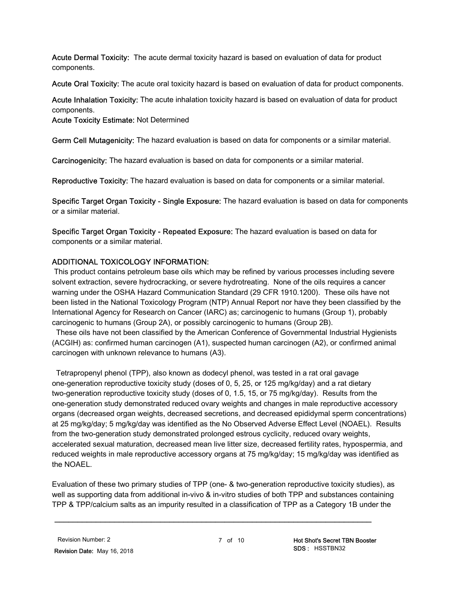Acute Dermal Toxicity: The acute dermal toxicity hazard is based on evaluation of data for product components.

Acute Oral Toxicity: The acute oral toxicity hazard is based on evaluation of data for product components.

Acute Inhalation Toxicity: The acute inhalation toxicity hazard is based on evaluation of data for product components.

Acute Toxicity Estimate: Not Determined

Germ Cell Mutagenicity: The hazard evaluation is based on data for components or a similar material.

Carcinogenicity: The hazard evaluation is based on data for components or a similar material.

Reproductive Toxicity: The hazard evaluation is based on data for components or a similar material.

Specific Target Organ Toxicity - Single Exposure: The hazard evaluation is based on data for components or a similar material.

**Specific Target Organ Toxicity - Repeated Exposure:** The hazard evaluation is based on data for components or a similar material.

### ADDITIONAL TOXICOLOGY INFORMATION:

 This product contains petroleum base oils which may be refined by various processes including severe solvent extraction, severe hydrocracking, or severe hydrotreating. None of the oils requires a cancer warning under the OSHA Hazard Communication Standard (29 CFR 1910.1200). These oils have not been listed in the National Toxicology Program (NTP) Annual Report nor have they been classified by the International Agency for Research on Cancer (IARC) as; carcinogenic to humans (Group 1), probably carcinogenic to humans (Group 2A), or possibly carcinogenic to humans (Group 2B).

 (ACGIH) as: confirmed human carcinogen (A1), suspected human carcinogen (A2), or confirmed animal carcinogen with unknown relevance to humans (A3). These oils have not been classified by the American Conference of Governmental Industrial Hygienists

 one-generation reproductive toxicity study (doses of 0, 5, 25, or 125 mg/kg/day) and a rat dietary two-generation reproductive toxicity study (doses of 0, 1.5, 15, or 75 mg/kg/day). Results from the one-generation study demonstrated reduced ovary weights and changes in male reproductive accessory organs (decreased organ weights, decreased secretions, and decreased epididymal sperm concentrations) at 25 mg/kg/day; 5 mg/kg/day was identified as the No Observed Adverse Effect Level (NOAEL). Results from the two-generation study demonstrated prolonged estrous cyclicity, reduced ovary weights, accelerated sexual maturation, decreased mean live litter size, decreased fertility rates, hypospermia, and reduced weights in male reproductive accessory organs at 75 mg/kg/day; 15 mg/kg/day was identified as Tetrapropenyl phenol (TPP), also known as dodecyl phenol, was tested in a rat oral gavage the NOAEL.

 Evaluation of these two primary studies of TPP (one- & two-generation reproductive toxicity studies), as well as supporting data from additional in-vivo & in-vitro studies of both TPP and substances containing TPP & TPP/calcium salts as an impurity resulted in a classification of TPP as a Category 1B under the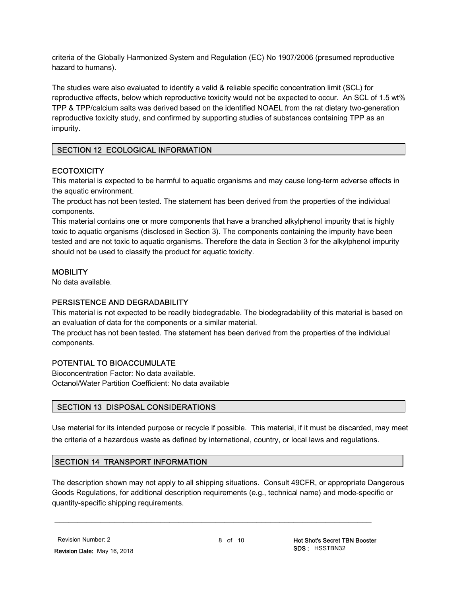criteria of the Globally Harmonized System and Regulation (EC) No 1907/2006 (presumed reproductive hazard to humans).

 The studies were also evaluated to identify a valid & reliable specific concentration limit (SCL) for reproductive effects, below which reproductive toxicity would not be expected to occur. An SCL of 1.5 wt% TPP & TPP/calcium salts was derived based on the identified NOAEL from the rat dietary two-generation reproductive toxicity study, and confirmed by supporting studies of substances containing TPP as an impurity.

### SECTION 12 ECOLOGICAL INFORMATION

### **ECOTOXICITY**

 This material is expected to be harmful to aquatic organisms and may cause long-term adverse effects in the aquatic environment.

 The product has not been tested. The statement has been derived from the properties of the individual components.

 This material contains one or more components that have a branched alkylphenol impurity that is highly toxic to aquatic organisms (disclosed in Section 3). The components containing the impurity have been tested and are not toxic to aquatic organisms. Therefore the data in Section 3 for the alkylphenol impurity should not be used to classify the product for aquatic toxicity.

# **MOBILITY**

No data available.

### PERSISTENCE AND DEGRADABILITY

 This material is not expected to be readily biodegradable. The biodegradability of this material is based on an evaluation of data for the components or a similar material.

 The product has not been tested. The statement has been derived from the properties of the individual components.

### POTENTIAL TO BIOACCUMULATE

 Bioconcentration Factor: No data available. Octanol/Water Partition Coefficient: No data available

### SECTION 13 DISPOSAL CONSIDERATIONS

 Use material for its intended purpose or recycle if possible. This material, if it must be discarded, may meet the criteria of a hazardous waste as defined by international, country, or local laws and regulations.

### SECTION 14 TRANSPORT INFORMATION

 The description shown may not apply to all shipping situations. Consult 49CFR, or appropriate Dangerous Goods Regulations, for additional description requirements (e.g., technical name) and mode-specific or quantity-specific shipping requirements.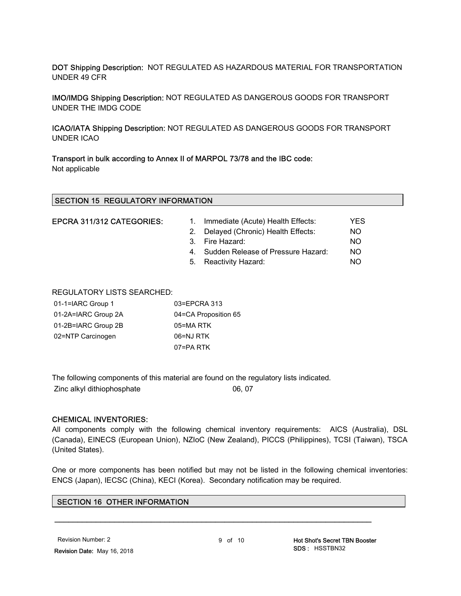DOT Shipping Description: NOT REGULATED AS HAZARDOUS MATERIAL FOR TRANSPORTATION UNDER 49 CFR

 IMO/IMDG Shipping Description: NOT REGULATED AS DANGEROUS GOODS FOR TRANSPORT UNDER THE IMDG CODE

 ICAO/IATA Shipping Description: NOT REGULATED AS DANGEROUS GOODS FOR TRANSPORT UNDER ICAO

 Transport in bulk according to Annex II of MARPOL 73/78 and the IBC code: Not applicable

|  | EPCRA 311/312 CATEGORIES: |  |
|--|---------------------------|--|
|  |                           |  |

| EPCRA 311/312 CATEGORIES: | 1. Immediate (Acute) Health Effects:  | YES |
|---------------------------|---------------------------------------|-----|
|                           | 2. Delayed (Chronic) Health Effects:  | NO. |
|                           | 3. Fire Hazard:                       | NO. |
|                           | 4. Sudden Release of Pressure Hazard: | NO. |
|                           | 5. Reactivity Hazard:                 | NO. |
|                           |                                       |     |

#### REGULATORY LISTS SEARCHED:

| 01-1=IARC Group 1   | 03=EPCRA 313         |
|---------------------|----------------------|
| 01-2A=IARC Group 2A | 04=CA Proposition 65 |
| 01-2B=IARC Group 2B | 05=MA RTK            |
| 02=NTP Carcinogen   | 06=NJ RTK            |
|                     | 07=PA RTK            |

The following components of this material are found on the regulatory lists indicated.

Zinc alkyl dithiophosphate 06, 07

#### CHEMICAL INVENTORIES:

 All components comply with the following chemical inventory requirements: AICS (Australia), DSL (Canada), EINECS (European Union), NZIoC (New Zealand), PICCS (Philippines), TCSI (Taiwan), TSCA (United States).

 One or more components has been notified but may not be listed in the following chemical inventories: ENCS (Japan), IECSC (China), KECI (Korea). Secondary notification may be required.

#### SECTION 16 OTHER INFORMATION